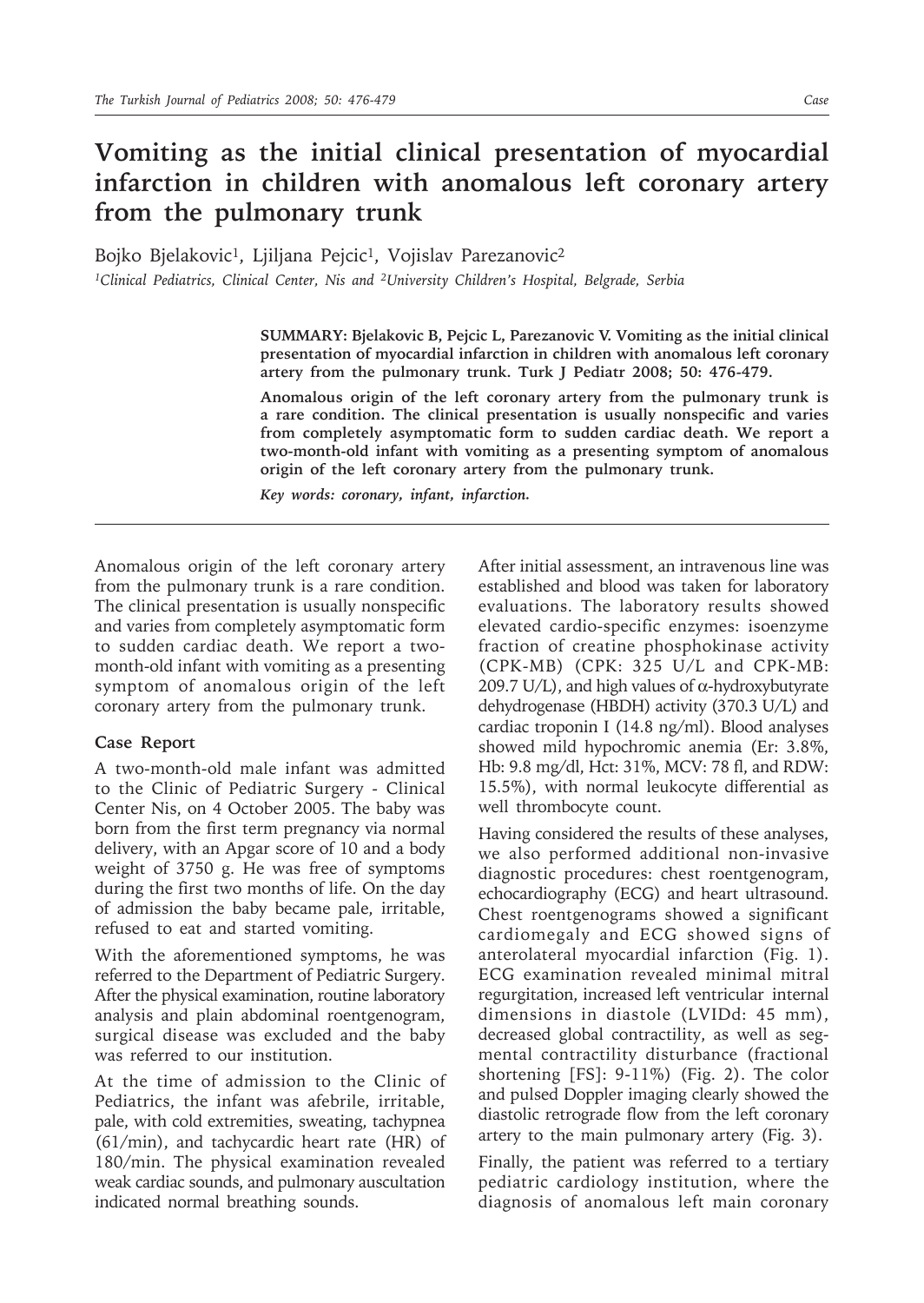## **Vomiting as the initial clinical presentation of myocardial infarction in children with anomalous left coronary artery from the pulmonary trunk**

Bojko Bjelakovic<sup>1</sup>, Ljiljana Pejcic<sup>1</sup>, Vojislav Parezanovic<sup>2</sup> *1Clinical Pediatrics, Clinical Center, Nis and 2University Children's Hospital, Belgrade, Serbia*

> **SUMMARY: Bjelakovic B, Pejcic L, Parezanovic V. Vomiting as the initial clinical presentation of myocardial infarction in children with anomalous left coronary artery from the pulmonary trunk. Turk J Pediatr 2008; 50: 476-479.**

> **Anomalous origin of the left coronary artery from the pulmonary trunk is a rare condition. The clinical presentation is usually nonspecific and varies from completely asymptomatic form to sudden cardiac death. We report a two-month-old infant with vomiting as a presenting symptom of anomalous origin of the left coronary artery from the pulmonary trunk.**

*Key words: coronary, infant, infarction.*

Anomalous origin of the left coronary artery from the pulmonary trunk is a rare condition. The clinical presentation is usually nonspecific and varies from completely asymptomatic form to sudden cardiac death. We report a twomonth-old infant with vomiting as a presenting symptom of anomalous origin of the left coronary artery from the pulmonary trunk.

## **Case Report**

A two-month-old male infant was admitted to the Clinic of Pediatric Surgery - Clinical Center Nis, on 4 October 2005. The baby was born from the first term pregnancy via normal delivery, with an Apgar score of 10 and a body weight of 3750 g. He was free of symptoms during the first two months of life. On the day of admission the baby became pale, irritable, refused to eat and started vomiting.

With the aforementioned symptoms, he was referred to the Department of Pediatric Surgery. After the physical examination, routine laboratory analysis and plain abdominal roentgenogram, surgical disease was excluded and the baby was referred to our institution.

At the time of admission to the Clinic of Pediatrics, the infant was afebrile, irritable, pale, with cold extremities, sweating, tachypnea (61/min), and tachycardic heart rate (HR) of 180/min. The physical examination revealed weak cardiac sounds, and pulmonary auscultation indicated normal breathing sounds.

After initial assessment, an intravenous line was established and blood was taken for laboratory evaluations. The laboratory results showed elevated cardio-specific enzymes: isoenzyme fraction of creatine phosphokinase activity (CPK-MB) (CPK: 325 U/L and CPK-MB: 209.7 U/L), and high values of  $α$ -hydroxybutyrate dehydrogenase (HBDH) activity (370.3 U/L) and cardiac troponin I (14.8 ng/ml). Blood analyses showed mild hypochromic anemia (Er: 3.8%, Hb: 9.8 mg/dl, Hct: 31%, MCV: 78 fl, and RDW: 15.5%), with normal leukocyte differential as well thrombocyte count.

Having considered the results of these analyses, we also performed additional non-invasive diagnostic procedures: chest roentgenogram, echocardiography (ECG) and heart ultrasound. Chest roentgenograms showed a significant cardiomegaly and ECG showed signs of anterolateral myocardial infarction (Fig. 1). ECG examination revealed minimal mitral regurgitation, increased left ventricular internal dimensions in diastole (LVIDd: 45 mm), decreased global contractility, as well as segmental contractility disturbance (fractional shortening [FS]: 9-11%) (Fig. 2). The color and pulsed Doppler imaging clearly showed the diastolic retrograde flow from the left coronary artery to the main pulmonary artery (Fig. 3).

Finally, the patient was referred to a tertiary pediatric cardiology institution, where the diagnosis of anomalous left main coronary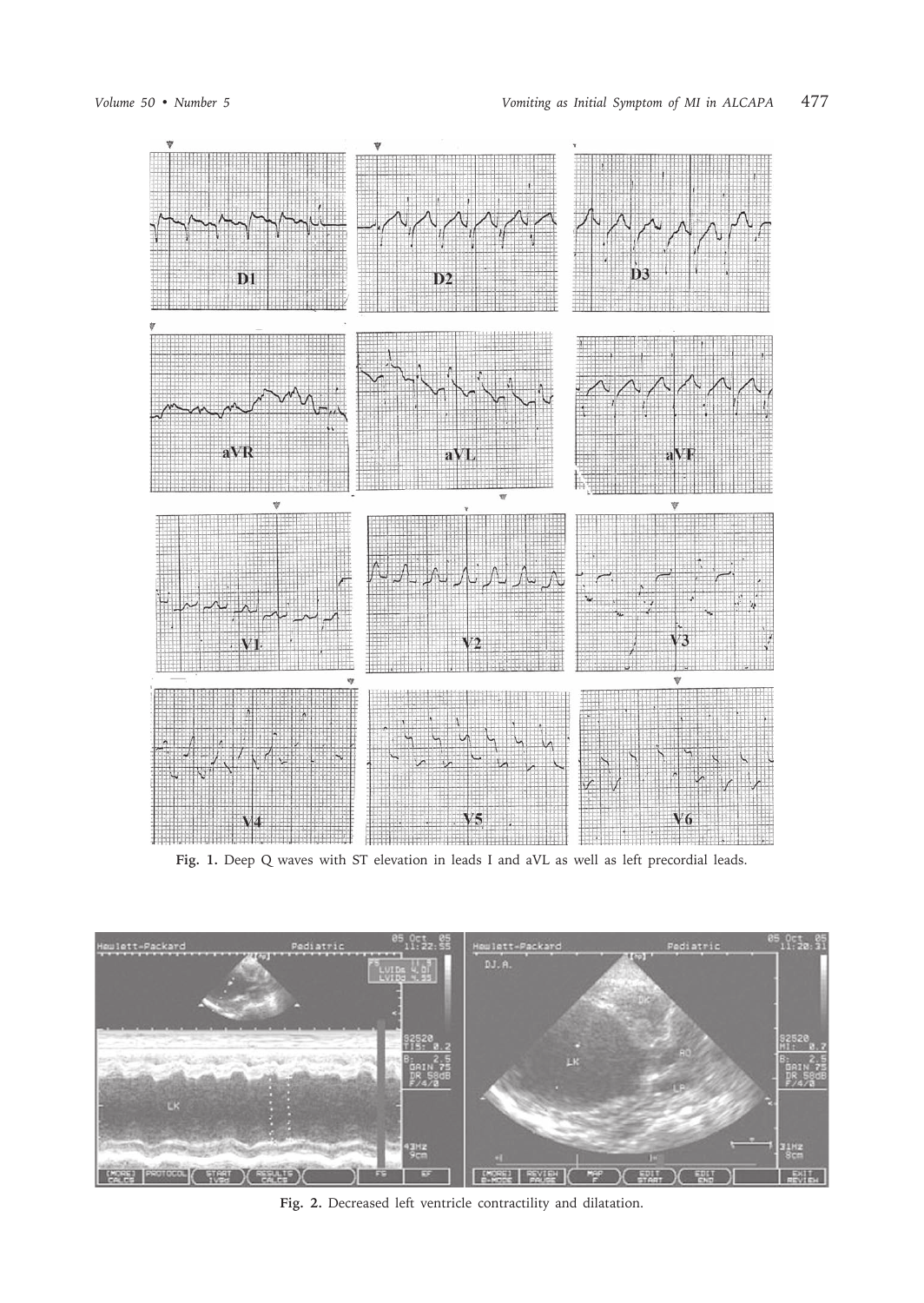

Fig. 1. Deep Q waves with ST elevation in leads I and aVL as well as left precordial leads.



**Fig. 2.** Decreased left ventricle contractility and dilatation.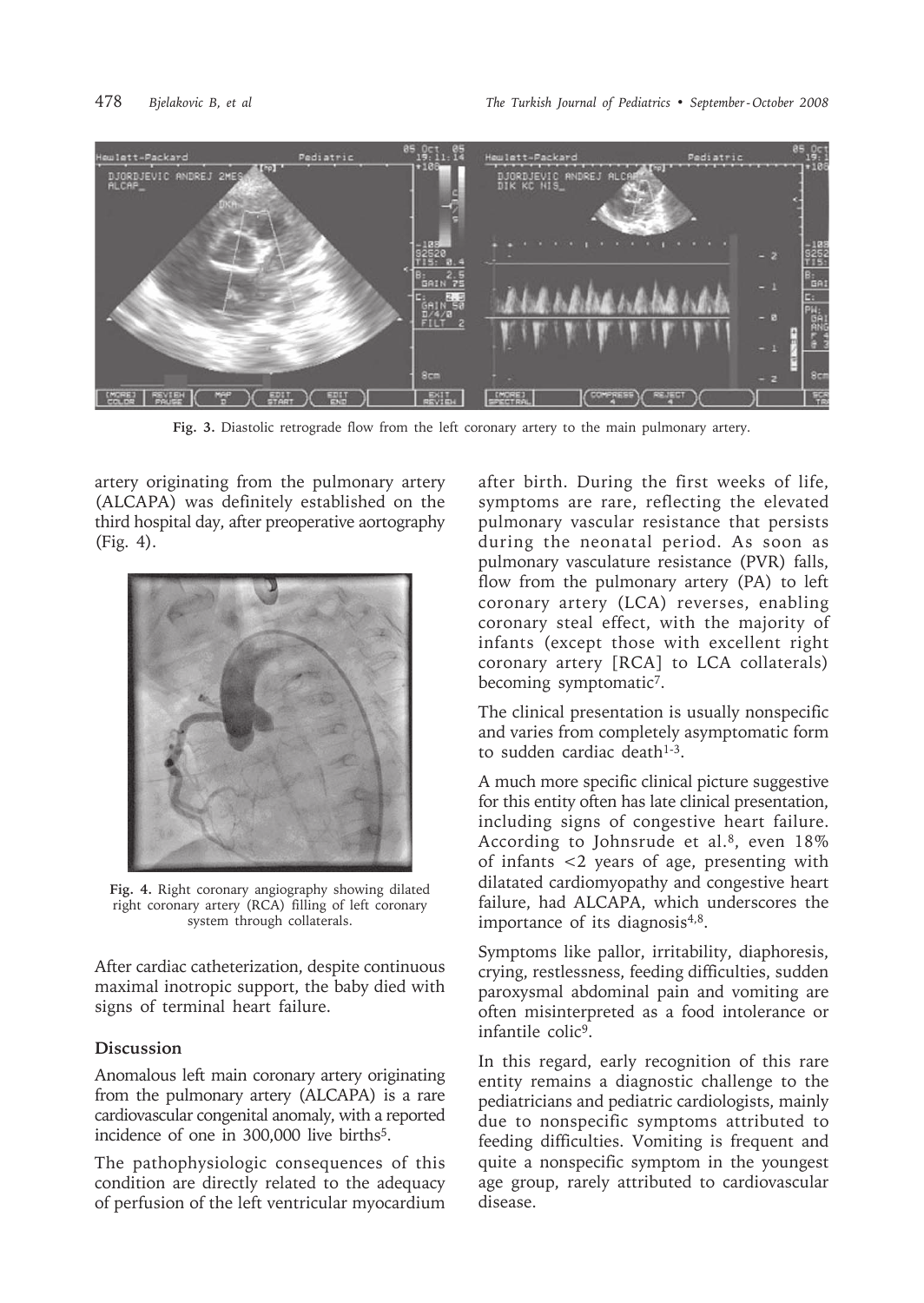

**Fig. 3.** Diastolic retrograde flow from the left coronary artery to the main pulmonary artery.

artery originating from the pulmonary artery (ALCAPA) was definitely established on the third hospital day, after preoperative aortography (Fig. 4).



**Fig. 4.** Right coronary angiography showing dilated right coronary artery (RCA) filling of left coronary system through collaterals.

After cardiac catheterization, despite continuous maximal inotropic support, the baby died with signs of terminal heart failure.

## **Discussion**

Anomalous left main coronary artery originating from the pulmonary artery (ALCAPA) is a rare cardiovascular congenital anomaly, with a reported incidence of one in 300,000 live births<sup>5</sup>.

The pathophysiologic consequences of this condition are directly related to the adequacy of perfusion of the left ventricular myocardium after birth. During the first weeks of life, symptoms are rare, reflecting the elevated pulmonary vascular resistance that persists during the neonatal period. As soon as pulmonary vasculature resistance (PVR) falls, flow from the pulmonary artery (PA) to left coronary artery (LCA) reverses, enabling coronary steal effect, with the majority of infants (except those with excellent right coronary artery [RCA] to LCA collaterals) becoming symptomatic7.

The clinical presentation is usually nonspecific and varies from completely asymptomatic form to sudden cardiac death<sup>1-3</sup>.

A much more specific clinical picture suggestive for this entity often has late clinical presentation, including signs of congestive heart failure. According to Johnsrude et al.<sup>8</sup>, even 18% of infants <2 years of age, presenting with dilatated cardiomyopathy and congestive heart failure, had ALCAPA, which underscores the importance of its diagnosis $4,8$ .

Symptoms like pallor, irritability, diaphoresis, crying, restlessness, feeding difficulties, sudden paroxysmal abdominal pain and vomiting are often misinterpreted as a food intolerance or infantile colic<sup>9</sup>.

In this regard, early recognition of this rare entity remains a diagnostic challenge to the pediatricians and pediatric cardiologists, mainly due to nonspecific symptoms attributed to feeding difficulties. Vomiting is frequent and quite a nonspecific symptom in the youngest age group, rarely attributed to cardiovascular disease.